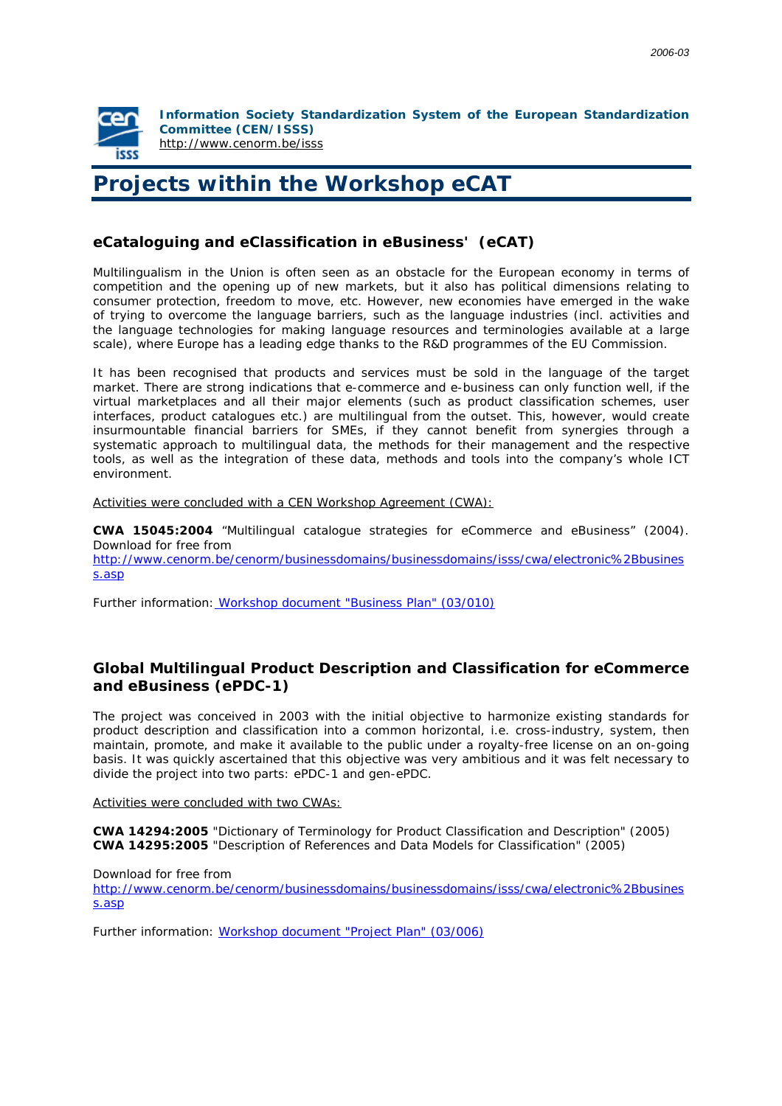

**Information Society Standardization System of the European Standardization Committee (CEN/ISSS)**  <http://www.cenorm.be/isss>

## **Projects within the Workshop eCAT**

## **eCataloguing and eClassification in eBusiness' (eCAT)**

Multilingualism in the Union is often seen as an obstacle for the European economy in terms of competition and the opening up of new markets, but it also has political dimensions relating to consumer protection, freedom to move, etc. However, new economies have emerged in the wake of trying to overcome the language barriers, such as the language industries (incl. activities and the language technologies for making language resources and terminologies available at a large scale), where Europe has a leading edge thanks to the R&D programmes of the EU Commission.

It has been recognised that products and services must be sold in the language of the target market. There are strong indications that e-commerce and e-business can only function well, if the virtual marketplaces and all their major elements (such as product classification schemes, user interfaces, product catalogues etc.) are multilingual from the outset. This, however, would create insurmountable financial barriers for SMEs, if they cannot benefit from synergies through a systematic approach to multilingual data, the methods for their management and the respective tools, as well as the integration of these data, methods and tools into the company's whole ICT environment.

Activities were concluded with a CEN Workshop Agreement (CWA):

**CWA 15045:2004** "Multilingual catalogue strategies for eCommerce and eBusiness" (2004). Download for free from [http://www.cenorm.be/cenorm/businessdomains/businessdomains/isss/cwa/electronic%2Bbusines](http://www.cenorm.be/cenorm/businessdomains/businessdomains/isss/cwa/electronic%2Bbusiness.asp) s.asp

*Further information[: Workshop document "Business Plan" \(03/010\)](http://www.termnet.info/english/projects/eCAT_Documents.php)*

## **Global Multilingual Product Description and Classification for eCommerce and eBusiness (ePDC-1)**

The project was conceived in 2003 with the initial objective to harmonize existing standards for product description and classification into a common horizontal, i.e. cross-industry, system, then maintain, promote, and make it available to the public under a royalty-free license on an on-going basis. It was quickly ascertained that this objective was very ambitious and it was felt necessary to divide the project into two parts: ePDC-1 and gen-ePDC.

Activities were concluded with two CWAs:

**CWA 14294:2005** "Dictionary of Terminology for Product Classification and Description" (2005) **CWA 14295:2005** "Description of References and Data Models for Classification" (2005)

Download for free from

[http://www.cenorm.be/cenorm/businessdomains/businessdomains/isss/cwa/electronic%2Bbusines](http://www.cenorm.be/cenorm/businessdomains/businessdomains/isss/cwa/electronic%2Bbusiness.asp) s.asp

*Further information[: Workshop document "Project Plan" \(03/006\)](http://www.termnet.info/english/projects/eCAT_Documents.php)*